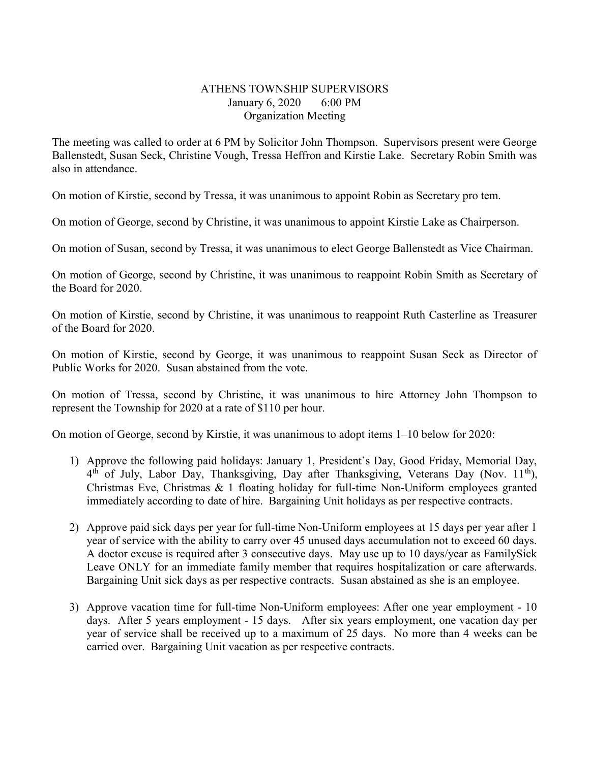## ATHENS TOWNSHIP SUPERVISORS January 6, 2020 6:00 PM Organization Meeting

The meeting was called to order at 6 PM by Solicitor John Thompson. Supervisors present were George Ballenstedt, Susan Seck, Christine Vough, Tressa Heffron and Kirstie Lake. Secretary Robin Smith was also in attendance.

On motion of Kirstie, second by Tressa, it was unanimous to appoint Robin as Secretary pro tem.

On motion of George, second by Christine, it was unanimous to appoint Kirstie Lake as Chairperson.

On motion of Susan, second by Tressa, it was unanimous to elect George Ballenstedt as Vice Chairman.

On motion of George, second by Christine, it was unanimous to reappoint Robin Smith as Secretary of the Board for 2020.

On motion of Kirstie, second by Christine, it was unanimous to reappoint Ruth Casterline as Treasurer of the Board for 2020.

On motion of Kirstie, second by George, it was unanimous to reappoint Susan Seck as Director of Public Works for 2020. Susan abstained from the vote.

On motion of Tressa, second by Christine, it was unanimous to hire Attorney John Thompson to represent the Township for 2020 at a rate of \$110 per hour.

On motion of George, second by Kirstie, it was unanimous to adopt items 1–10 below for 2020:

- 1) Approve the following paid holidays: January 1, President's Day, Good Friday, Memorial Day, 4<sup>th</sup> of July, Labor Day, Thanksgiving, Day after Thanksgiving, Veterans Day (Nov. 11<sup>th</sup>), Christmas Eve, Christmas & 1 floating holiday for full-time Non-Uniform employees granted immediately according to date of hire. Bargaining Unit holidays as per respective contracts.
- 2) Approve paid sick days per year for full-time Non-Uniform employees at 15 days per year after 1 year of service with the ability to carry over 45 unused days accumulation not to exceed 60 days. A doctor excuse is required after 3 consecutive days. May use up to 10 days/year as FamilySick Leave ONLY for an immediate family member that requires hospitalization or care afterwards. Bargaining Unit sick days as per respective contracts. Susan abstained as she is an employee.
- 3) Approve vacation time for full-time Non-Uniform employees: After one year employment 10 days. After 5 years employment - 15 days. After six years employment, one vacation day per year of service shall be received up to a maximum of 25 days. No more than 4 weeks can be carried over. Bargaining Unit vacation as per respective contracts.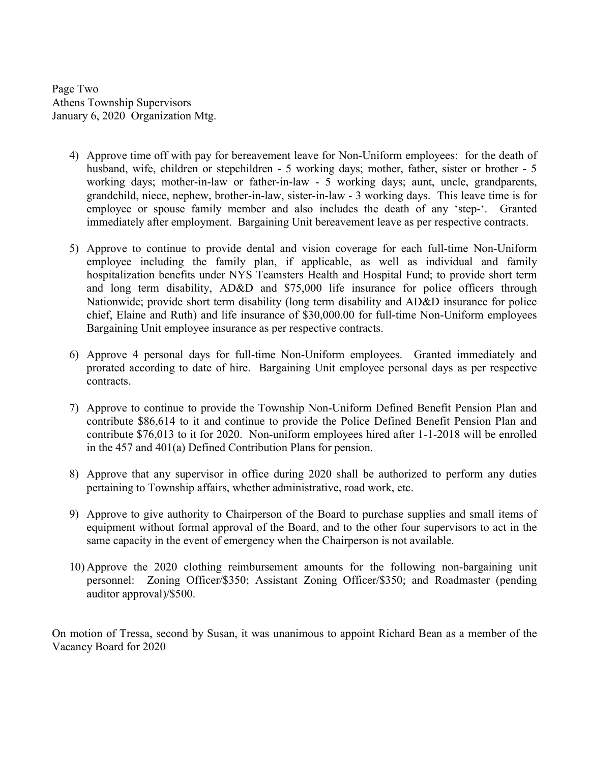Page Two Athens Township Supervisors January 6, 2020 Organization Mtg.

- 4) Approve time off with pay for bereavement leave for Non-Uniform employees: for the death of husband, wife, children or stepchildren - 5 working days; mother, father, sister or brother - 5 working days; mother-in-law or father-in-law - 5 working days; aunt, uncle, grandparents, grandchild, niece, nephew, brother-in-law, sister-in-law - 3 working days. This leave time is for employee or spouse family member and also includes the death of any 'step-'. Granted immediately after employment. Bargaining Unit bereavement leave as per respective contracts.
- 5) Approve to continue to provide dental and vision coverage for each full-time Non-Uniform employee including the family plan, if applicable, as well as individual and family hospitalization benefits under NYS Teamsters Health and Hospital Fund; to provide short term and long term disability, AD&D and \$75,000 life insurance for police officers through Nationwide; provide short term disability (long term disability and AD&D insurance for police chief, Elaine and Ruth) and life insurance of \$30,000.00 for full-time Non-Uniform employees Bargaining Unit employee insurance as per respective contracts.
- 6) Approve 4 personal days for full-time Non-Uniform employees. Granted immediately and prorated according to date of hire. Bargaining Unit employee personal days as per respective contracts.
- 7) Approve to continue to provide the Township Non-Uniform Defined Benefit Pension Plan and contribute \$86,614 to it and continue to provide the Police Defined Benefit Pension Plan and contribute \$76,013 to it for 2020. Non-uniform employees hired after 1-1-2018 will be enrolled in the 457 and 401(a) Defined Contribution Plans for pension.
- 8) Approve that any supervisor in office during 2020 shall be authorized to perform any duties pertaining to Township affairs, whether administrative, road work, etc.
- 9) Approve to give authority to Chairperson of the Board to purchase supplies and small items of equipment without formal approval of the Board, and to the other four supervisors to act in the same capacity in the event of emergency when the Chairperson is not available.
- 10) Approve the 2020 clothing reimbursement amounts for the following non-bargaining unit personnel: Zoning Officer/\$350; Assistant Zoning Officer/\$350; and Roadmaster (pending auditor approval)/\$500.

On motion of Tressa, second by Susan, it was unanimous to appoint Richard Bean as a member of the Vacancy Board for 2020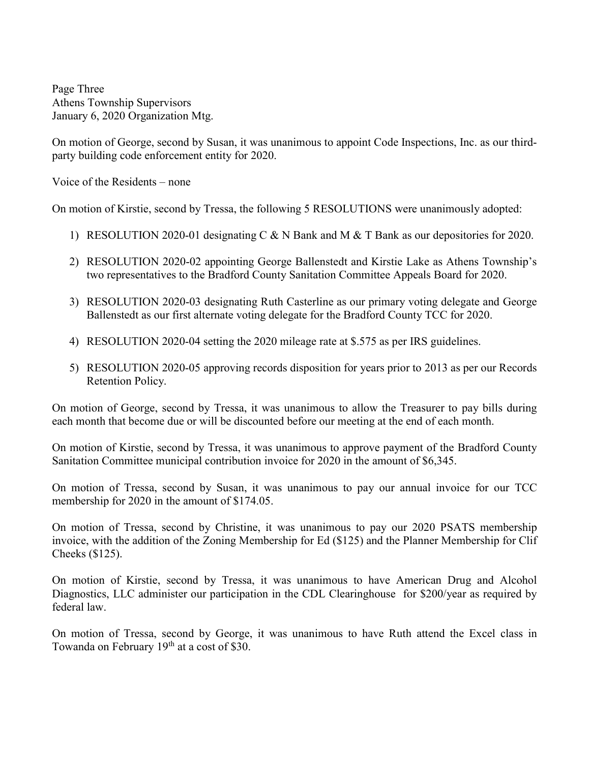Page Three Athens Township Supervisors January 6, 2020 Organization Mtg.

On motion of George, second by Susan, it was unanimous to appoint Code Inspections, Inc. as our thirdparty building code enforcement entity for 2020.

Voice of the Residents – none

On motion of Kirstie, second by Tressa, the following 5 RESOLUTIONS were unanimously adopted:

- 1) RESOLUTION 2020-01 designating C & N Bank and M & T Bank as our depositories for 2020.
- 2) RESOLUTION 2020-02 appointing George Ballenstedt and Kirstie Lake as Athens Township's two representatives to the Bradford County Sanitation Committee Appeals Board for 2020.
- 3) RESOLUTION 2020-03 designating Ruth Casterline as our primary voting delegate and George Ballenstedt as our first alternate voting delegate for the Bradford County TCC for 2020.
- 4) RESOLUTION 2020-04 setting the 2020 mileage rate at \$.575 as per IRS guidelines.
- 5) RESOLUTION 2020-05 approving records disposition for years prior to 2013 as per our Records Retention Policy.

On motion of George, second by Tressa, it was unanimous to allow the Treasurer to pay bills during each month that become due or will be discounted before our meeting at the end of each month.

On motion of Kirstie, second by Tressa, it was unanimous to approve payment of the Bradford County Sanitation Committee municipal contribution invoice for 2020 in the amount of \$6,345.

On motion of Tressa, second by Susan, it was unanimous to pay our annual invoice for our TCC membership for 2020 in the amount of \$174.05.

On motion of Tressa, second by Christine, it was unanimous to pay our 2020 PSATS membership invoice, with the addition of the Zoning Membership for Ed (\$125) and the Planner Membership for Clif Cheeks (\$125).

On motion of Kirstie, second by Tressa, it was unanimous to have American Drug and Alcohol Diagnostics, LLC administer our participation in the CDL Clearinghouse for \$200/year as required by federal law.

On motion of Tressa, second by George, it was unanimous to have Ruth attend the Excel class in Towanda on February 19<sup>th</sup> at a cost of \$30.